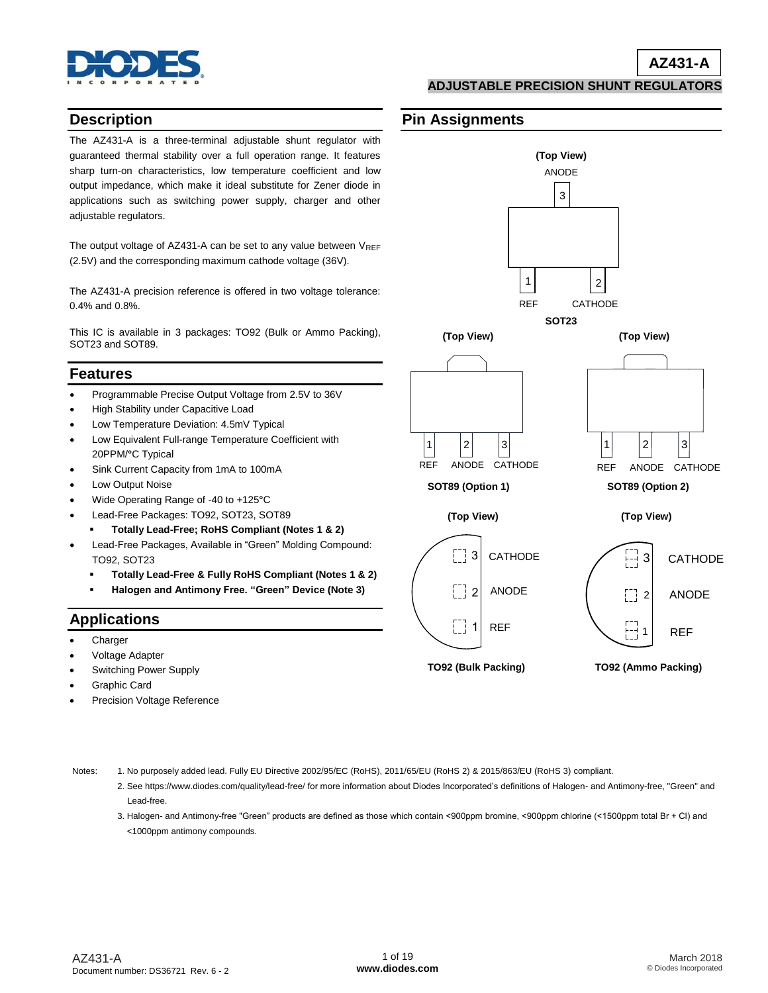

**ADJUSTABLE PRECISION SHUNT REGULATORS**

**(Top View)**

ANODE

3

**SOT23**

 $1 \mid$   $|2 \mid$ 

REF CATHODE

### **Description**

The AZ431-A is a three-terminal adjustable shunt regulator with guaranteed thermal stability over a full operation range. It features sharp turn-on characteristics, low temperature coefficient and low output impedance, which make it ideal substitute for Zener diode in applications such as switching power supply, charger and other adjustable regulators.

The output voltage of AZ431-A can be set to any value between  $V_{REF}$ (2.5V) and the corresponding maximum cathode voltage (36V).

The AZ431-A precision reference is offered in two voltage tolerance: 0.4% and 0.8%.

This IC is available in 3 packages: TO92 (Bulk or Ammo Packing), SOT23 and SOT89.

#### **Features**

- Programmable Precise Output Voltage from 2.5V to 36V
- High Stability under Capacitive Load
- Low Temperature Deviation: 4.5mV Typical
- Low Equivalent Full-range Temperature Coefficient with 20PPM/**°**C Typical
- Sink Current Capacity from 1mA to 100mA
- Low Output Noise
- Wide Operating Range of -40 to +125**°**C
- Lead-Free Packages: TO92, SOT23, SOT89
	- **Totally Lead-Free; RoHS Compliant (Notes 1 & 2)**
- Lead-Free Packages, Available in "Green" Molding Compound: TO92, SOT23
- **Totally Lead-Free & Fully RoHS Compliant (Notes 1 & 2)**
	- **Halogen and Antimony Free. "Green" Device (Note 3)**

### **Applications**

- Charger
- Voltage Adapter
- Switching Power Supply
- Graphic Card
- Precision Voltage Reference



**Pin Assignments**

 $1 \mid |2|$  | 3| REF ANODE CATHODE

**SOT89 (Option 1) SOT89 (Option 2)**

**(Top View) (Top View)**



Notes: 1. No purposely added lead. Fully EU Directive 2002/95/EC (RoHS), 2011/65/EU (RoHS 2) & 2015/863/EU (RoHS 3) compliant.

- 2. See [https://www.diodes.com/quality/lead-free/ fo](https://www.diodes.com/quality/lead-free/)r more information about Diodes Incorporated's definitions of Halogen- and Antimony-free, "Green" and Lead-free.
- 3. Halogen- and Antimony-free "Green" products are defined as those which contain <900ppm bromine, <900ppm chlorine (<1500ppm total Br + Cl) and <1000ppm antimony compounds.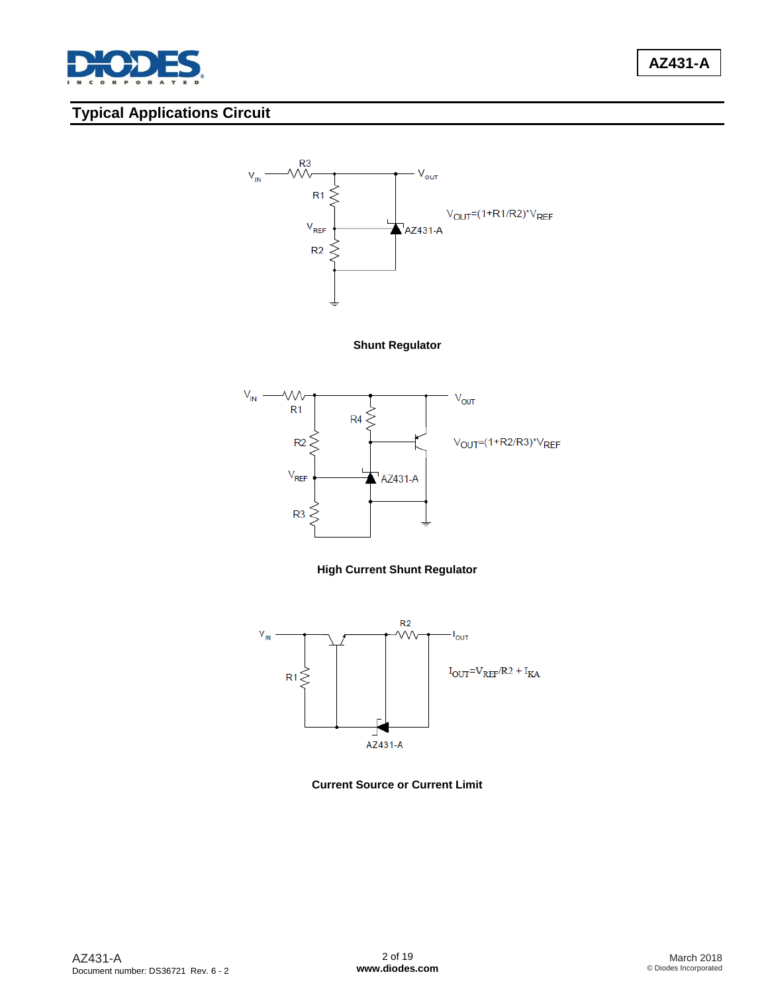

# **Typical Applications Circuit**



**Shunt Regulator**



#### **High Current Shunt Regulator**



**Current Source or Current Limit**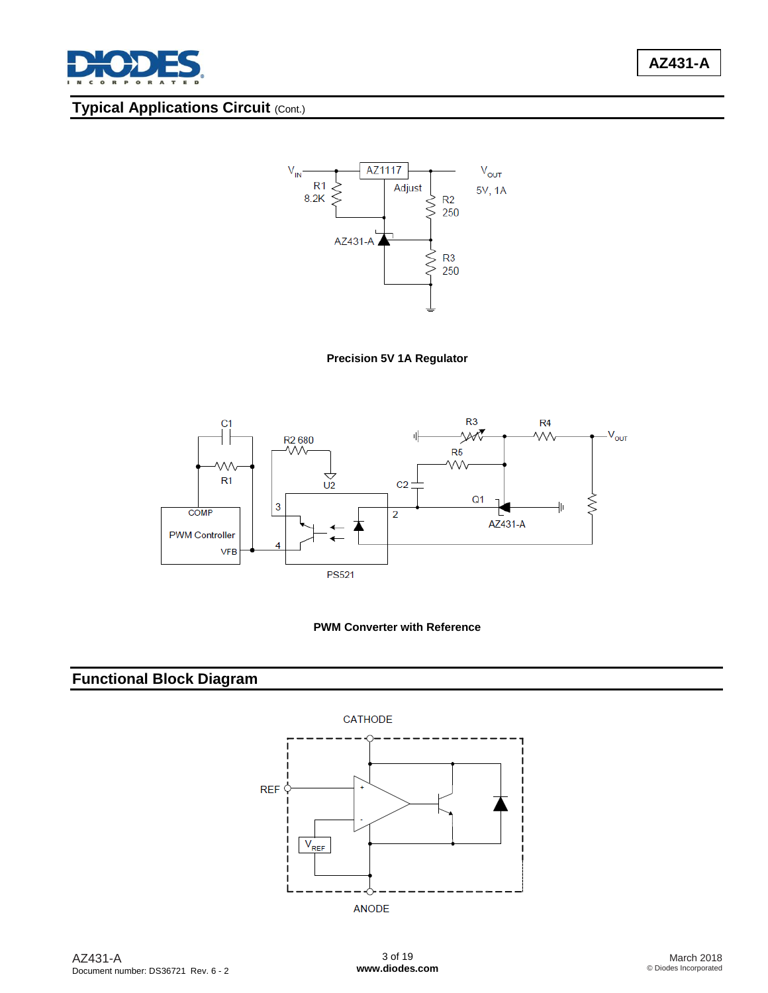

# **AZ431-A**

# **Typical Applications Circuit (Cont.)**









# **Functional Block Diagram**

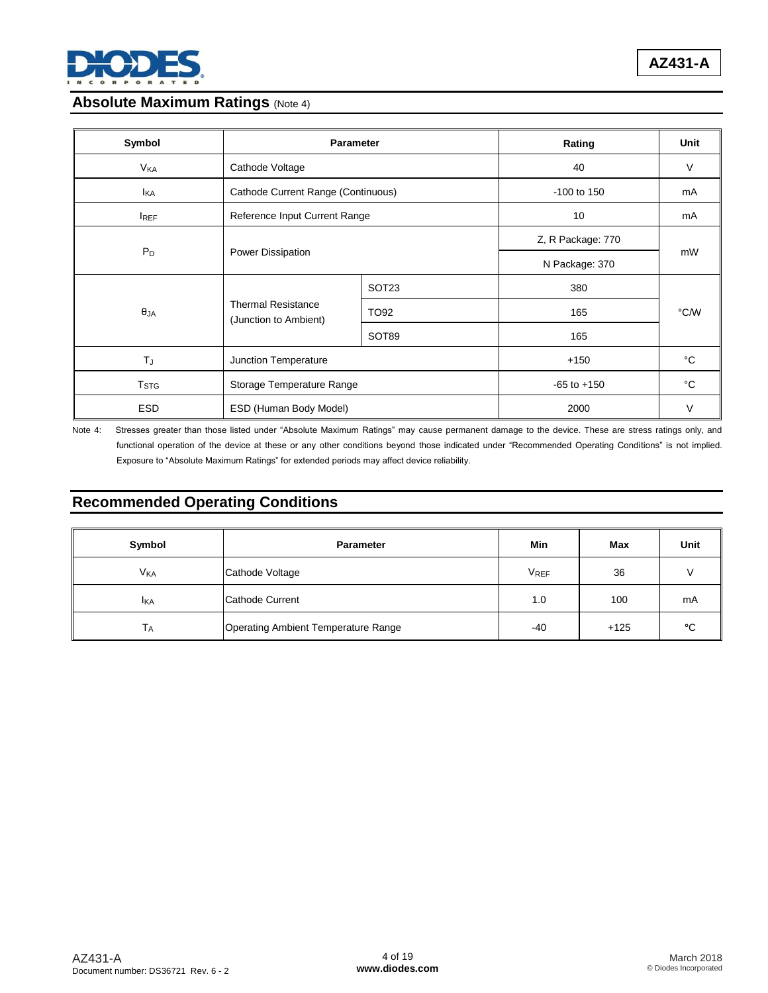

### **Absolute Maximum Ratings (Note 4)**

| Symbol                | <b>Parameter</b>                                   |                   | Rating          | Unit         |  |
|-----------------------|----------------------------------------------------|-------------------|-----------------|--------------|--|
| <b>V<sub>KA</sub></b> | Cathode Voltage                                    |                   | 40              | V            |  |
| <b>I</b> KA           | Cathode Current Range (Continuous)                 |                   | $-100$ to 150   | mA           |  |
| <b>IREF</b>           | Reference Input Current Range                      |                   | 10              | mA           |  |
|                       |                                                    |                   |                 |              |  |
| $P_D$                 | Power Dissipation                                  |                   | N Package: 370  | mW           |  |
|                       |                                                    | SOT <sub>23</sub> | 380             |              |  |
| $\theta_{JA}$         | <b>Thermal Resistance</b><br>(Junction to Ambient) | TO92              | 165             | °C/W         |  |
|                       |                                                    | SOT89             | 165             |              |  |
| TJ                    | Junction Temperature                               |                   | $+150$          | °C           |  |
| T <sub>STG</sub>      | Storage Temperature Range                          |                   | $-65$ to $+150$ | $^{\circ}$ C |  |
| <b>ESD</b>            | ESD (Human Body Model)                             |                   | 2000            | $\vee$       |  |

Note 4: Stresses greater than those listed under "Absolute Maximum Ratings" may cause permanent damage to the device. These are stress ratings only, and functional operation of the device at these or any other conditions beyond those indicated under "Recommended Operating Conditions" is not implied. Exposure to "Absolute Maximum Ratings" for extended periods may affect device reliability.

## **Recommended Operating Conditions**

| Symbol                | <b>Parameter</b>                    | Min         | Max    | Unit |
|-----------------------|-------------------------------------|-------------|--------|------|
| <b>V<sub>KA</sub></b> | Cathode Voltage                     | <b>VREF</b> | 36     |      |
| <b>I</b> KA           | Cathode Current                     | 1.0         | 100    | mA   |
| IА.                   | Operating Ambient Temperature Range | -40         | $+125$ | ۰c   |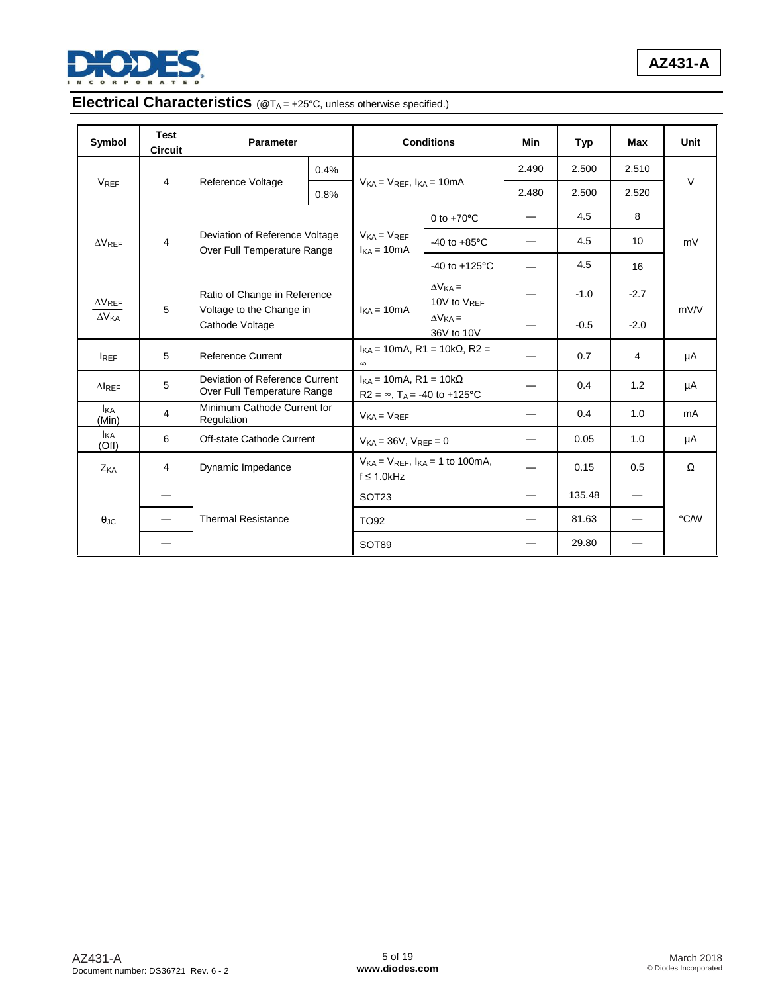

# Electrical Characteristics (@T<sub>A</sub> = +25°C, unless otherwise specified.)

| Symbol                  | <b>Test</b><br><b>Circuit</b> | <b>Parameter</b>                                              |            |                                                                                      | <b>Conditions</b>                     |        | Typ    | Max             | Unit   |  |
|-------------------------|-------------------------------|---------------------------------------------------------------|------------|--------------------------------------------------------------------------------------|---------------------------------------|--------|--------|-----------------|--------|--|
|                         |                               |                                                               | 0.4%       |                                                                                      | $V_{KA} = V_{REF}$ , $I_{KA} = 10mA$  |        | 2.500  | 2.510           | $\vee$ |  |
| <b>V<sub>REF</sub></b>  | 4                             | Reference Voltage                                             | 0.8%       |                                                                                      |                                       |        | 2.500  | 2.520           |        |  |
|                         |                               |                                                               |            |                                                                                      | 0 to $+70^{\circ}$ C                  |        | 4.5    | 8               |        |  |
| $\Delta V_{REF}$        | $\overline{4}$                | Deviation of Reference Voltage<br>Over Full Temperature Range |            | $V_{KA} = V_{REF}$<br>$I_{KA} = 10mA$                                                | $-40$ to $+85^{\circ}$ C              |        | 4.5    | 10 <sup>1</sup> | mV     |  |
|                         |                               |                                                               |            |                                                                                      | $-40$ to $+125^{\circ}$ C             |        | 4.5    | 16              |        |  |
| $\Delta\rm{V_{REF}}$    |                               | Ratio of Change in Reference                                  |            |                                                                                      | $\Delta V_{KA}$ =<br>10V to $V_{REF}$ |        | $-1.0$ | $-2.7$          |        |  |
| $\Delta V_{KA}$         | 5                             | Voltage to the Change in<br>Cathode Voltage                   | $k = 10mA$ | $\Delta V_{KA}$ =<br>36V to 10V                                                      |                                       | $-0.5$ | $-2.0$ | mV/V            |        |  |
| $I_{REF}$               | 5                             | <b>Reference Current</b>                                      |            | $I_{KA}$ = 10mA, R1 = 10k $\Omega$ , R2 =<br>$\infty$                                |                                       |        | 0.7    | 4               | μA     |  |
| $\Delta$ <sub>REF</sub> | 5                             | Deviation of Reference Current<br>Over Full Temperature Range |            | $I_{KA}$ = 10mA, R1 = 10k $\Omega$<br>$R2 = \infty$ , T <sub>A</sub> = -40 to +125°C |                                       |        | 0.4    | 1.2             | μA     |  |
| <b>I</b> KA<br>(Min)    | 4                             | Minimum Cathode Current for<br>Regulation                     |            | $V_{KA} = V_{REF}$                                                                   |                                       |        | 0.4    | 1.0             | mA     |  |
| <b>I</b> KA<br>(Off)    | 6                             | Off-state Cathode Current                                     |            | $V_{KA} = 36V$ , $V_{RFF} = 0$                                                       |                                       |        | 0.05   | 1.0             | μA     |  |
| Z <sub>KA</sub>         | 4                             | Dynamic Impedance                                             |            | $V_{KA} = V_{REF}$ , $I_{KA} = 1$ to 100mA,<br>$f \leq 1.0$ kHz                      |                                       |        | 0.15   | 0.5             | Ω      |  |
|                         |                               | <b>Thermal Resistance</b>                                     |            | SOT <sub>23</sub><br>TO92<br>SOT89                                                   |                                       |        | 135.48 |                 |        |  |
| $\theta$ JC             |                               |                                                               |            |                                                                                      |                                       |        | 81.63  |                 | °C/W   |  |
|                         |                               |                                                               |            |                                                                                      |                                       |        | 29.80  |                 |        |  |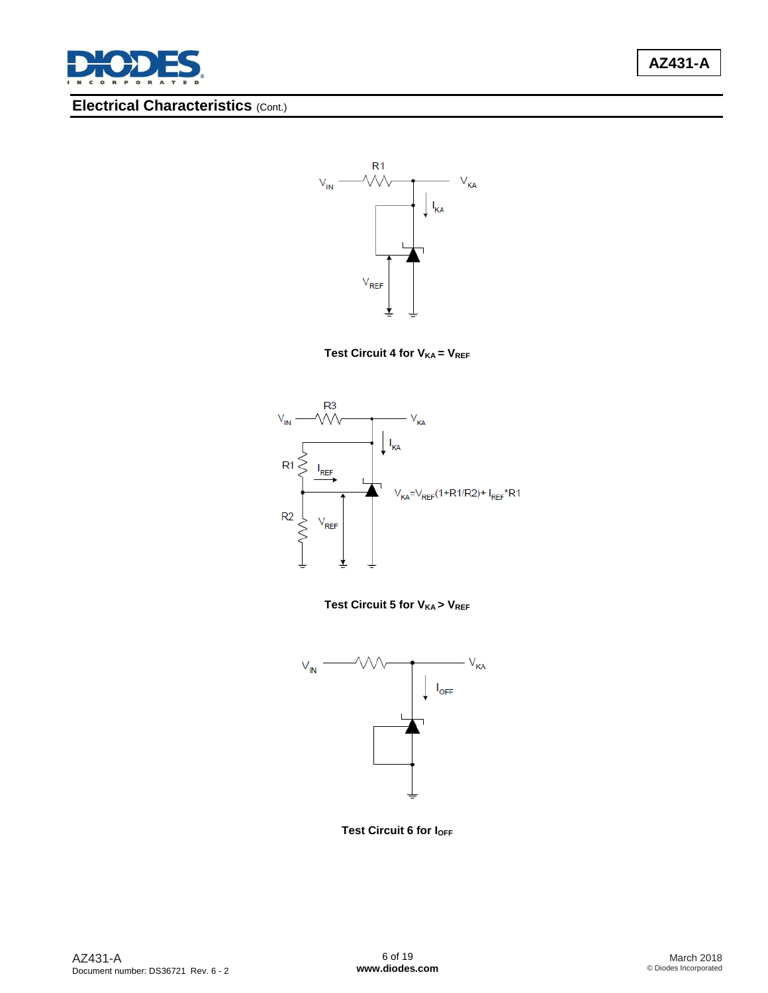

# **Electrical Characteristics** (Cont.)



**Test Circuit 4 for VKA = VREF** 







**Test Circuit 6 for I<sub>OFF</sub>**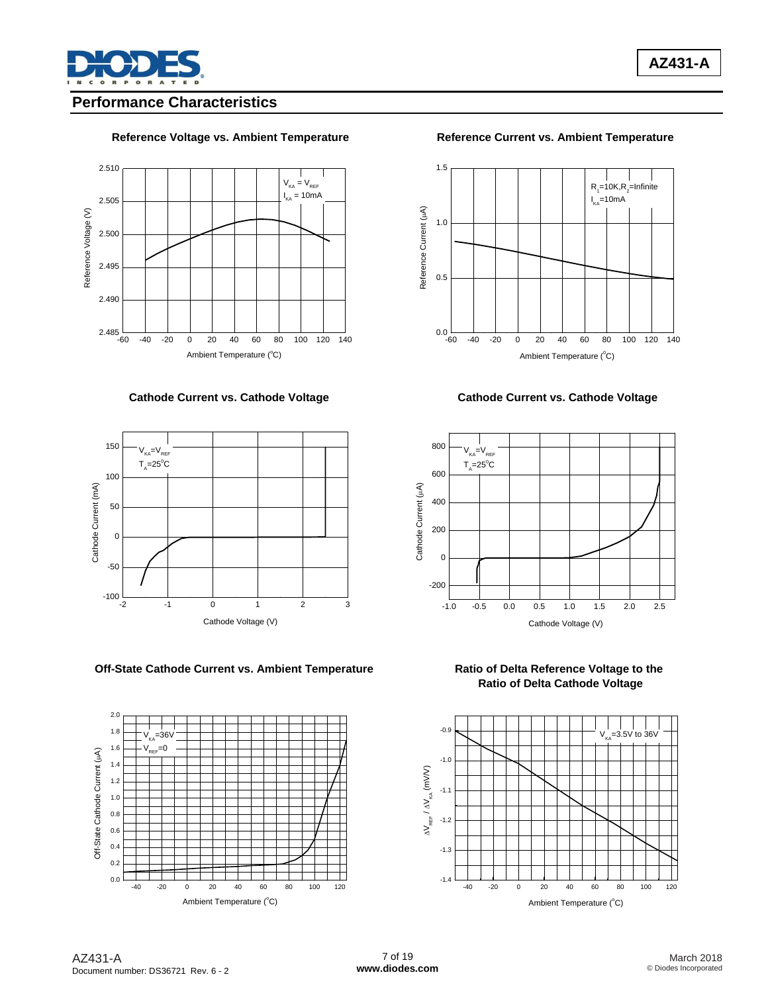

### **Performance Characteristics**

### **Reference Voltage vs. Ambient Temperature Reference Current vs. Ambient Temperature**





### **Off-State Cathode Current vs. Ambient Temperature Ratio of Delta Reference Voltage to the**





#### **Cathode Current vs. Cathode Voltage Cathode Current vs. Cathode Voltage Current vs. Cathode Voltage**



 **Ratio of Delta Cathode Voltage**

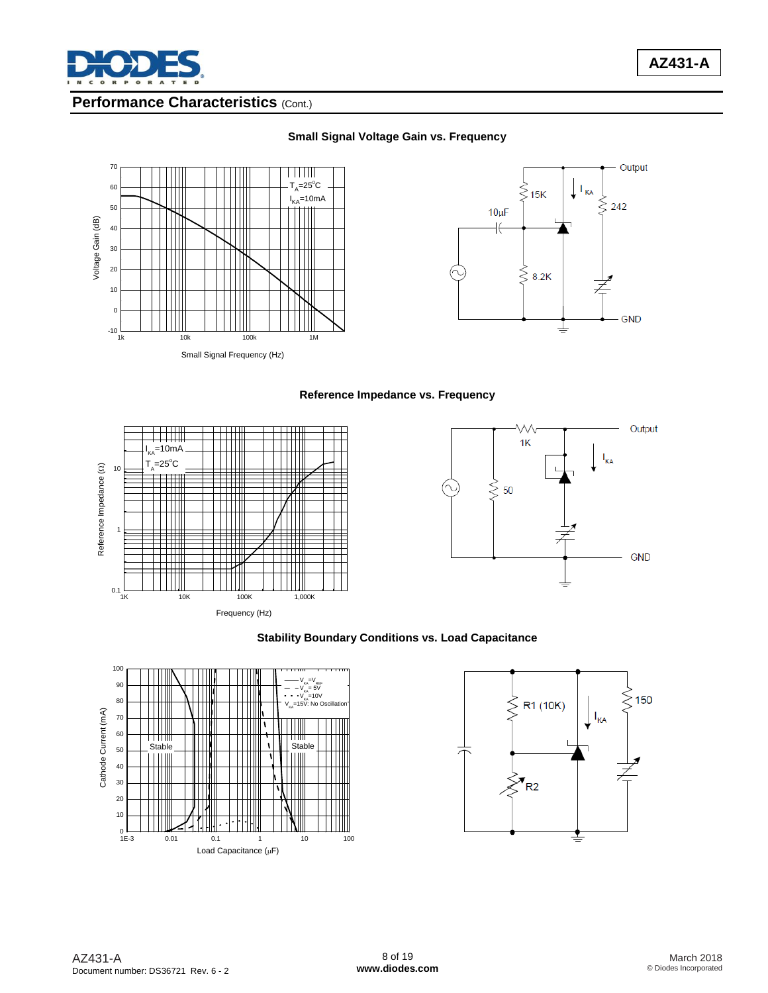

### **Performance Characteristics** (Cont.)



#### **Small Signal Voltage Gain vs. Frequency**







#### **Stability Boundary Conditions vs. Load Capacitance**



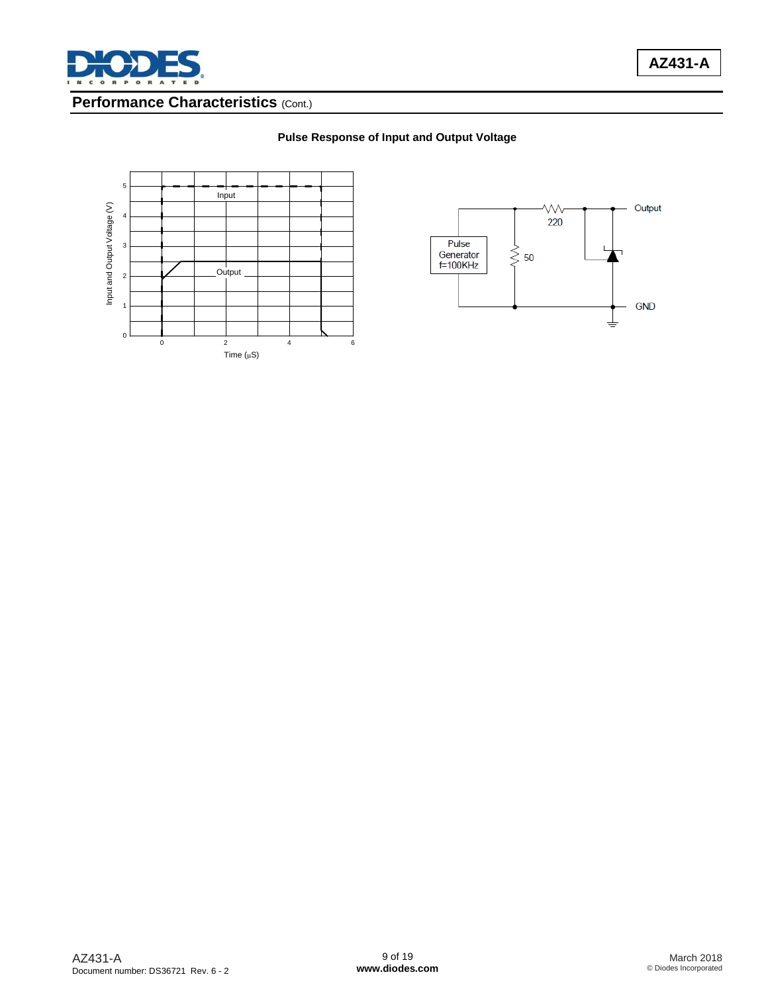

**AZ431-A**

### **Performance Characteristics** (Cont.)

#### **Pulse Response of Input and Output Voltage**



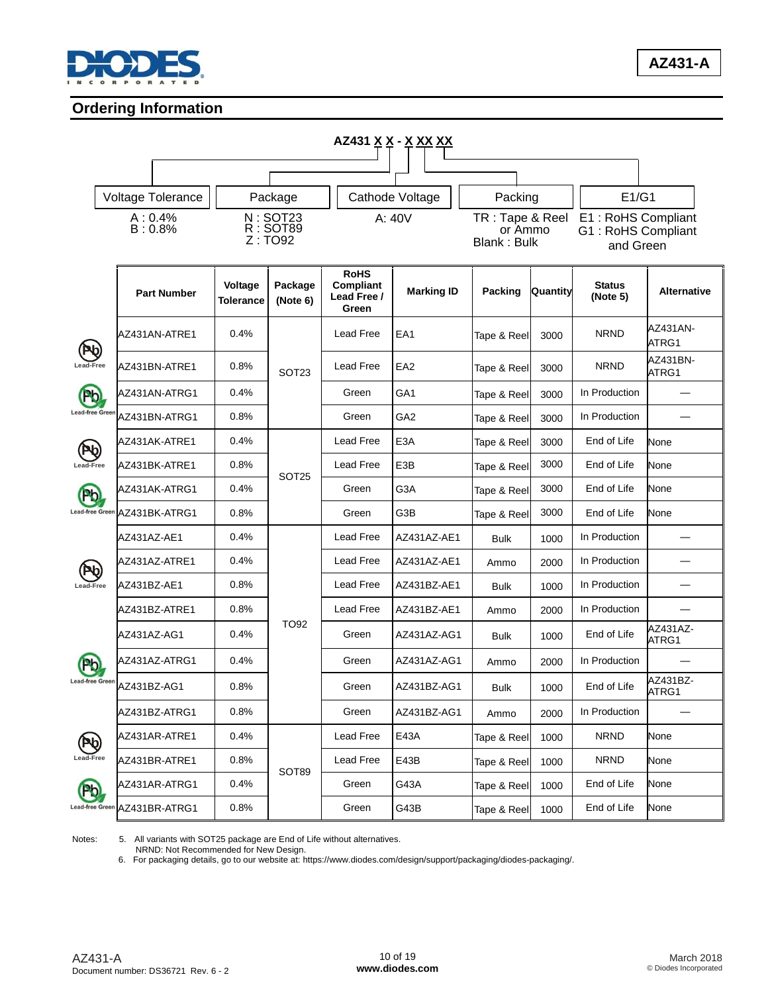

## **Ordering Information**

|                                           |                    |                    |                      |                                |                                                         | AZ431 <u>X X - X XX XX</u> |                                                  |          |                                                       |                    |
|-------------------------------------------|--------------------|--------------------|----------------------|--------------------------------|---------------------------------------------------------|----------------------------|--------------------------------------------------|----------|-------------------------------------------------------|--------------------|
|                                           |                    |                    |                      |                                |                                                         |                            |                                                  |          |                                                       |                    |
|                                           |                    | Voltage Tolerance  |                      | Package                        |                                                         | Cathode Voltage            | Packing                                          |          | E1/G1                                                 |                    |
|                                           | A: 0.4%<br>B: 0.8% |                    |                      | N: SOT23<br>R: SOT89<br>Z:TO92 |                                                         | A: 40V                     | TR: Tape & Reel<br>or Ammo<br><b>Blank: Bulk</b> |          | E1: RoHS Compliant<br>G1: RoHS Compliant<br>and Green |                    |
|                                           |                    | <b>Part Number</b> | Voltage<br>Tolerance | Package<br>(Note 6)            | <b>RoHS</b><br><b>Compliant</b><br>Lead Free /<br>Green | <b>Marking ID</b>          | Packing                                          | Quantity | <b>Status</b><br>(Note 5)                             | <b>Alternative</b> |
|                                           |                    | AZ431AN-ATRE1      | 0.4%                 |                                | Lead Free                                               | EA1                        | Tape & Reel                                      | 3000     | <b>NRND</b>                                           | AZ431AN-<br>ATRG1  |
|                                           |                    | AZ431BN-ATRE1      | 0.8%                 | SOT <sub>23</sub>              | Lead Free                                               | EA <sub>2</sub>            | Tape & Reel                                      | 3000     | <b>NRND</b>                                           | AZ431BN-<br>ATRG1  |
| Pb                                        |                    | AZ431AN-ATRG1      | 0.4%                 |                                | Green                                                   | GA <sub>1</sub>            | Tape & Reel                                      | 3000     | In Production                                         |                    |
| <b>Lead-free Green</b><br>Pb<br>Lead-Free |                    | AZ431BN-ATRG1      | 0.8%                 |                                | Green                                                   | GA <sub>2</sub>            | Tape & Reel                                      | 3000     | In Production                                         |                    |
|                                           |                    | AZ431AK-ATRE1      | 0.4%                 | SOT <sub>25</sub>              | Lead Free                                               | E <sub>3</sub> A           | Tape & Reel                                      | 3000     | End of Life                                           | None               |
|                                           |                    | AZ431BK-ATRE1      | 0.8%                 |                                | Lead Free                                               | E3B                        | Tape & Reel                                      | 3000     | End of Life                                           | None               |
| <b>Pb</b>                                 |                    | AZ431AK-ATRG1      | 0.4%                 |                                | Green                                                   | G3A                        | Tape & Reel                                      | 3000     | End of Life                                           | None               |
| <b>Lead-free Green</b>                    |                    | AZ431BK-ATRG1      | 0.8%                 |                                | Green                                                   | G3B                        | Tape & Reel                                      | 3000     | End of Life                                           | None               |
|                                           | AZ431AZ-AE1        |                    | 0.4%                 |                                | Lead Free                                               | AZ431AZ-AE1                | <b>Bulk</b>                                      | 1000     | In Production                                         |                    |
| PQ                                        |                    | AZ431AZ-ATRE1      | 0.4%                 |                                | Lead Free                                               | AZ431AZ-AE1                | Ammo                                             | 2000     | In Production                                         |                    |
| Lead-Free                                 |                    | AZ431BZ-AE1        | 0.8%                 |                                | Lead Free                                               | AZ431BZ-AE1                | <b>Bulk</b>                                      | 1000     | In Production                                         |                    |
|                                           |                    | AZ431BZ-ATRE1      | 0.8%                 |                                | Lead Free                                               | AZ431BZ-AE1                | Ammo                                             | 2000     | In Production                                         |                    |
|                                           |                    | AZ431AZ-AG1        | 0.4%                 | <b>TO92</b>                    | Green                                                   | AZ431AZ-AG1                | <b>Bulk</b>                                      | 1000     | End of Life                                           | AZ431AZ-<br>ATRG1  |
|                                           |                    | AZ431AZ-ATRG1      | 0.4%                 |                                | Green                                                   | AZ431AZ-AG1                | Ammo                                             | 2000     | In Production                                         |                    |
| <b>Lead-free Green</b>                    |                    | AZ431BZ-AG1        | 0.8%                 |                                | Green                                                   | AZ431BZ-AG1                | <b>Bulk</b>                                      | 1000     | End of Life                                           | AZ431BZ-<br>ATRG1  |
|                                           |                    | AZ431BZ-ATRG1      | 0.8%                 |                                | Green                                                   | AZ431BZ-AG1                | Ammo                                             | 2000     | In Production                                         |                    |
| Pb                                        |                    | AZ431AR-ATRE1      | 0.4%                 |                                | Lead Free                                               | E43A                       | Tape & Reel                                      | 1000     | <b>NRND</b>                                           | None               |
| <b>Lead-Free</b>                          |                    | AZ431BR-ATRE1      | 0.8%                 |                                | Lead Free                                               | E43B                       | Tape & Reel                                      | 1000     | <b>NRND</b>                                           | None               |
| Pb                                        |                    | AZ431AR-ATRG1      | 0.4%                 | SOT89                          | Green                                                   | G43A                       | Tape & Reel                                      | 1000     | End of Life                                           | None               |
| <b>Lead-free Green</b>                    |                    | AZ431BR-ATRG1      | 0.8%                 |                                | Green                                                   | G43B                       | Tape & Reel                                      | 1000     | End of Life                                           | None               |

Notes: 5. All variants with SOT25 package are End of Life without alternatives.

NRND: Not Recommended for New Design.

6. For packaging details, go to our website at: [https://www.diodes.com/design/support/packaging/diodes-packaging/.](https://www.diodes.com/design/support/packaging/diodes-packaging/)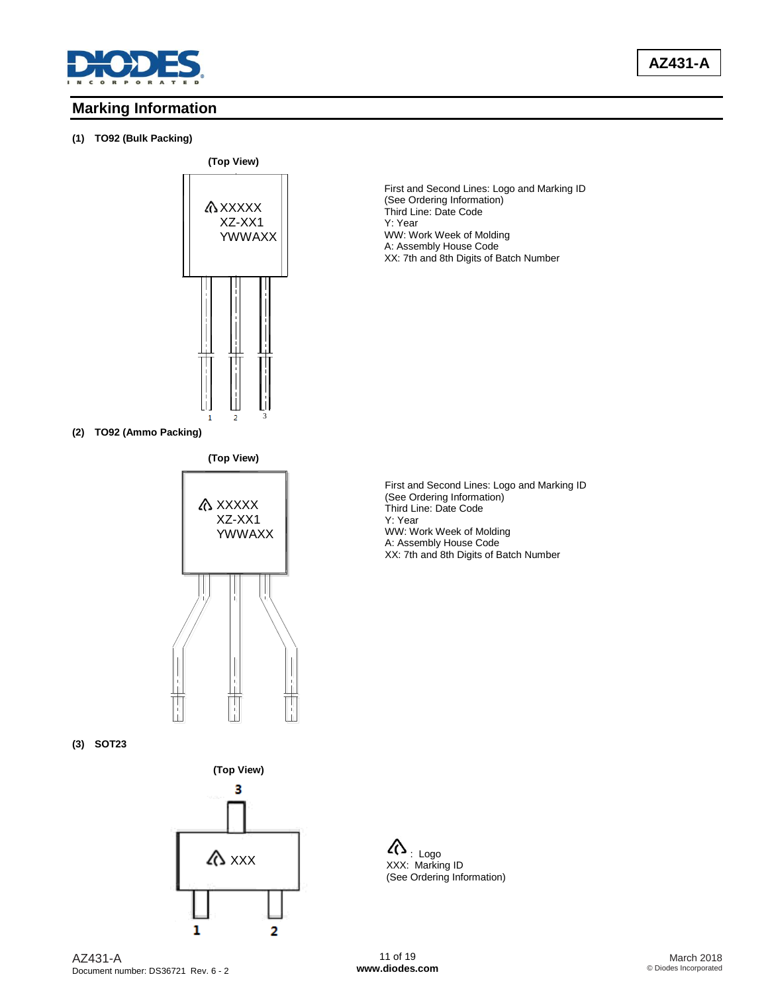

### **Marking Information**

#### **(1) TO92 (Bulk Packing)**



First and Second Lines: Logo and Marking ID (See Ordering Information) Third Line: Date Code Y: Year WW: Work Week of Molding A: Assembly House Code XX: 7th and 8th Digits of Batch Number

**(2) TO92 (Ammo Packing)**



First and Second Lines: Logo and Marking ID (See Ordering Information) Third Line: Date Code Y: Year WW: Work Week of Molding A: Assembly House Code XX: 7th and 8th Digits of Batch Number

**(3) SOT23**



XXX: Marking ID (See Ordering Information)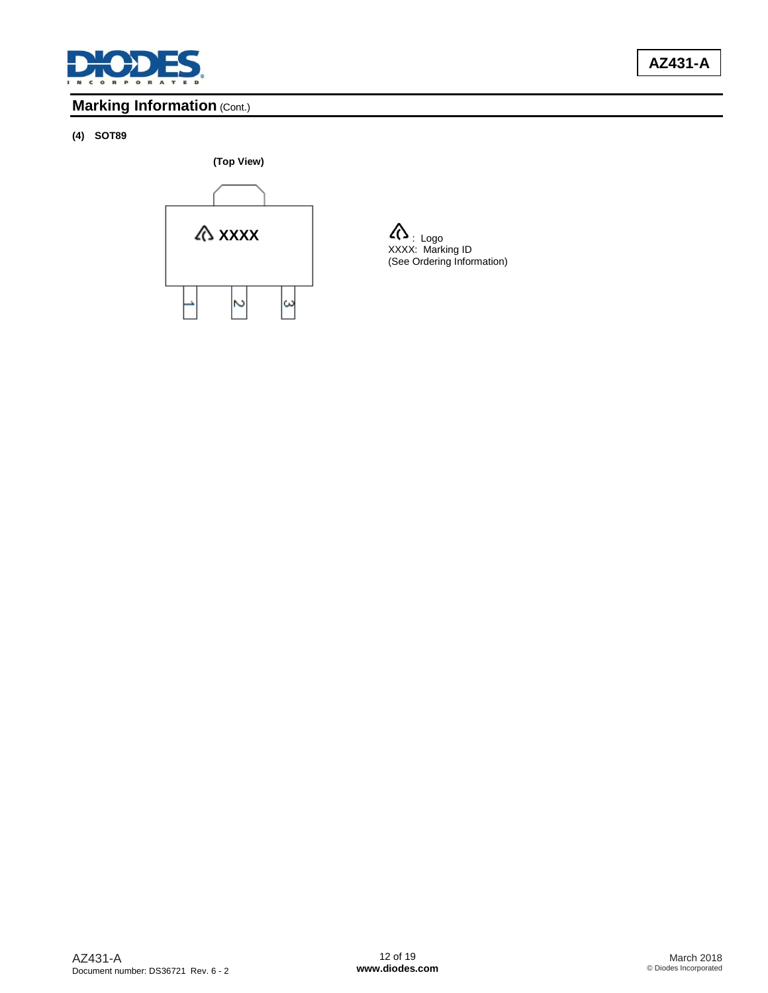

**AZ431-A**

# **Marking Information (Cont.)**

# **(4) SOT89**



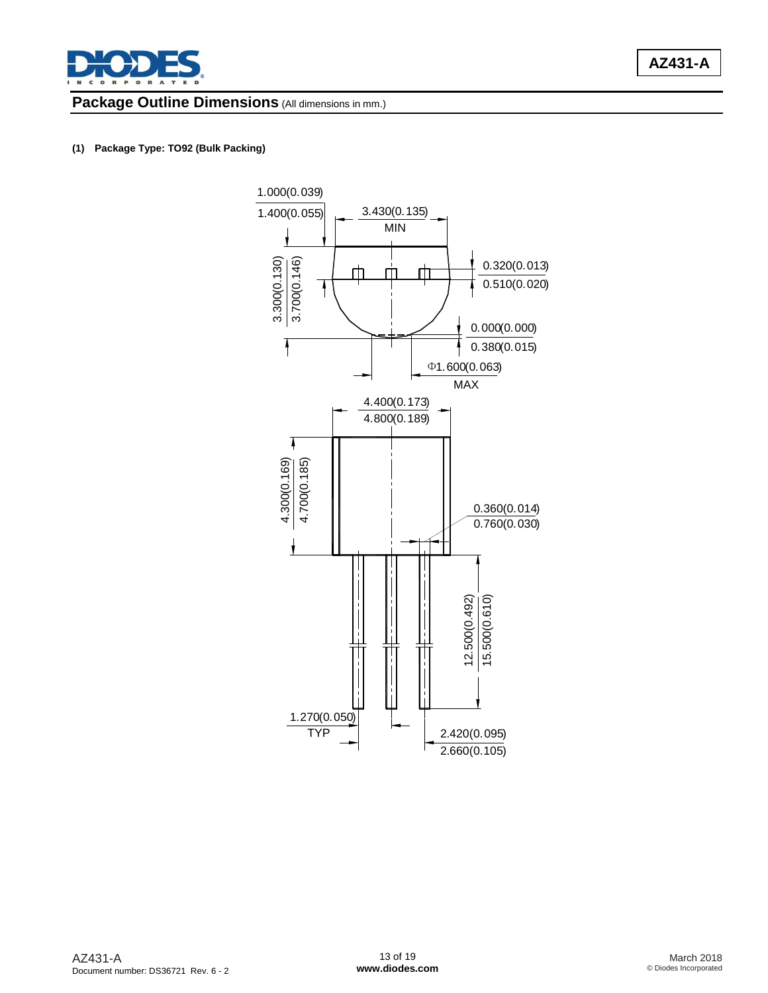

### **Package Outline Dimensions** (All dimensions in mm.)

#### **(1) Package Type: TO92 (Bulk Packing)**

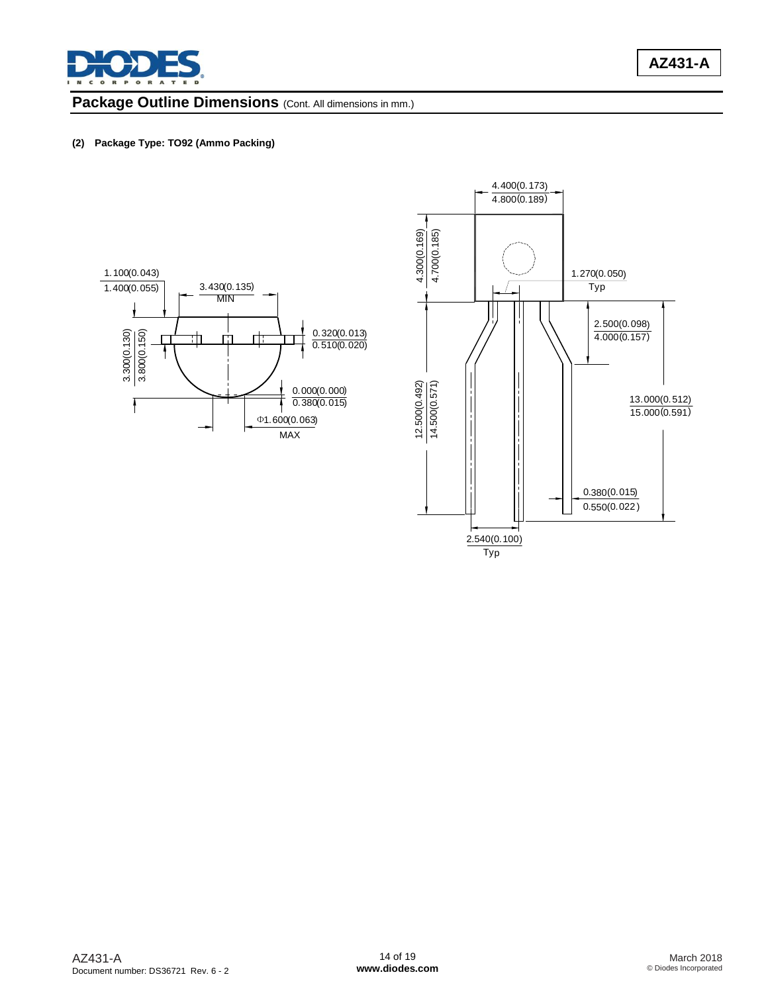

### Package Outline Dimensions (Cont. All dimensions in mm.)

#### **(2) Package Type: TO92 (Ammo Packing)**



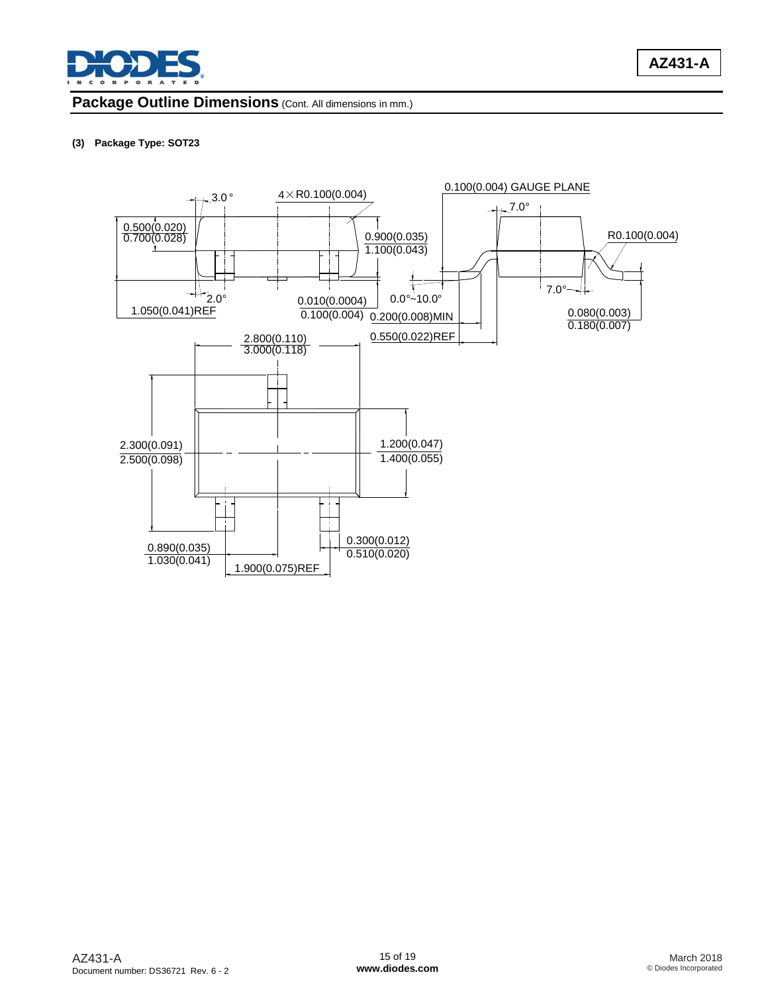

### Package Outline Dimensions (Cont. All dimensions in mm.)

#### **(3) Package Type: SOT23**

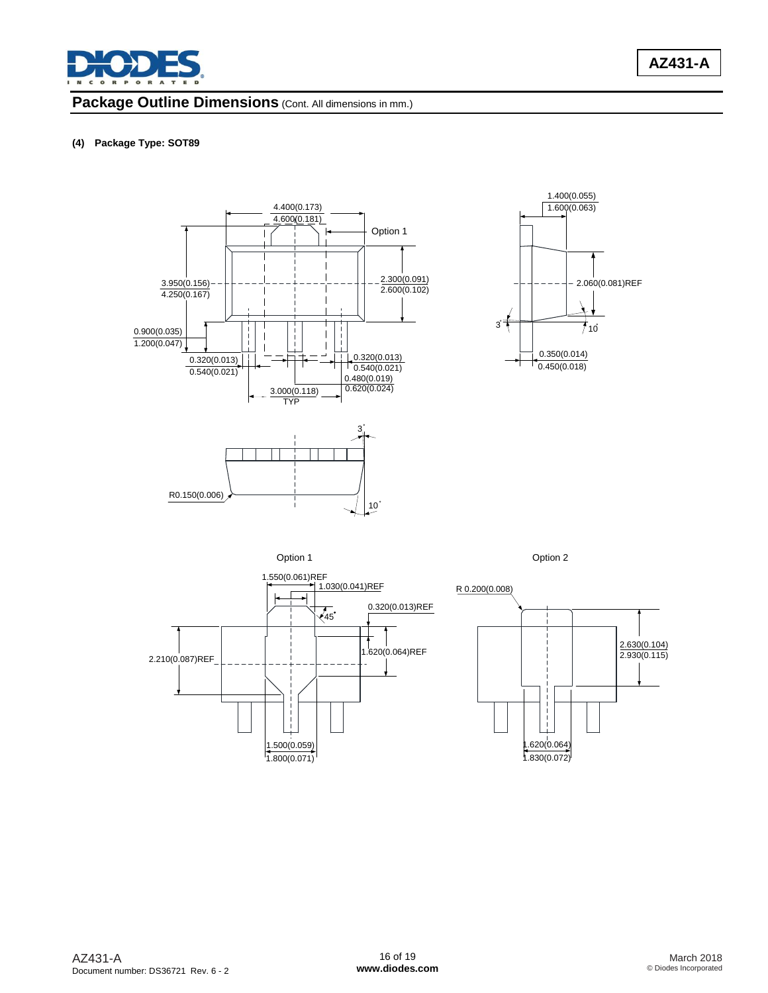

### Package Outline Dimensions (Cont. All dimensions in mm.)

#### **(4) Package Type: SOT89**







![](_page_15_Figure_8.jpeg)

![](_page_15_Figure_9.jpeg)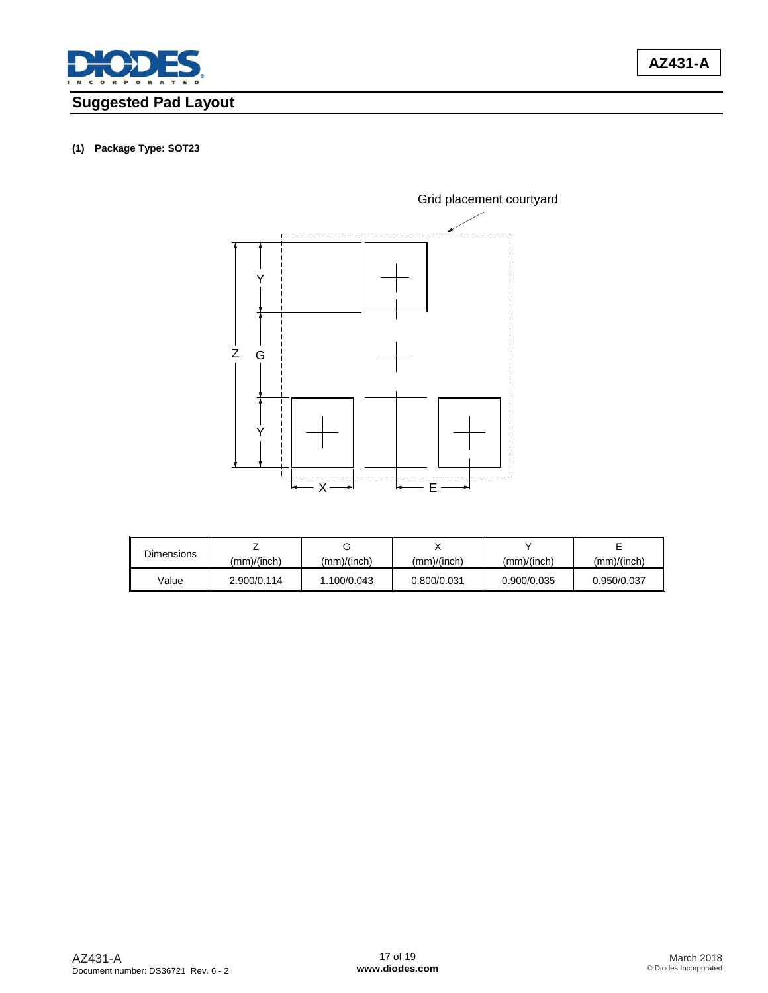![](_page_16_Picture_0.jpeg)

# **Suggested Pad Layout**

#### **(1) Package Type: SOT23**

![](_page_16_Figure_3.jpeg)

| <b>Dimensions</b> |             |             |             |             |             |
|-------------------|-------------|-------------|-------------|-------------|-------------|
|                   | (mm)/(inch) | (mm)/(inch) | (mm)/(inch) | (mm)/(inch) | (mm)/(inch) |
| Value             | 2.900/0.114 | 1.100/0.043 | 0.800/0.031 | 0.900/0.035 | 0.950/0.037 |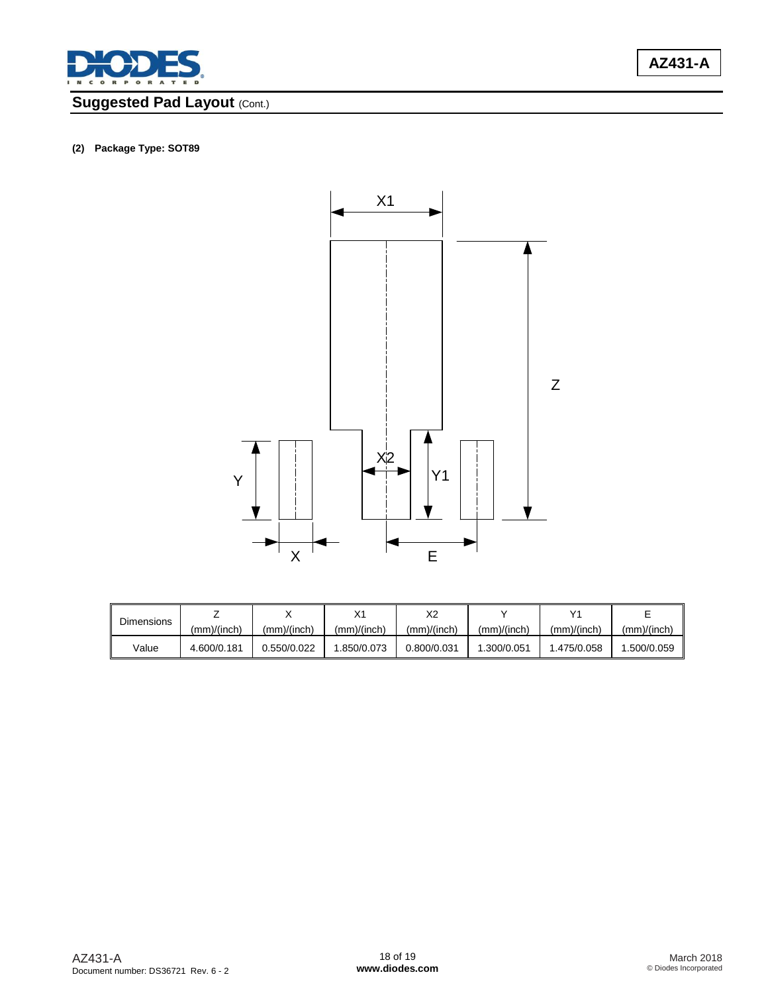![](_page_17_Picture_0.jpeg)

# **Suggested Pad Layout (Cont.)**

![](_page_17_Figure_3.jpeg)

| <b>Dimensions</b> |             |             |             | vn<br>∼∠    |             | v,          |             |
|-------------------|-------------|-------------|-------------|-------------|-------------|-------------|-------------|
|                   | (mm)/(inch) | (mm)/(inch) | (mm)/(inch) | (mm)/(inch) | (mm)/(inch) | (mm)/(inch) | (mm)/(inch) |
| Value             | 4.600/0.181 | 0.550/0.022 | .850/0.073  | 0.800/0.031 | 1.300/0.051 | 1.475/0.058 | .500/0.059  |